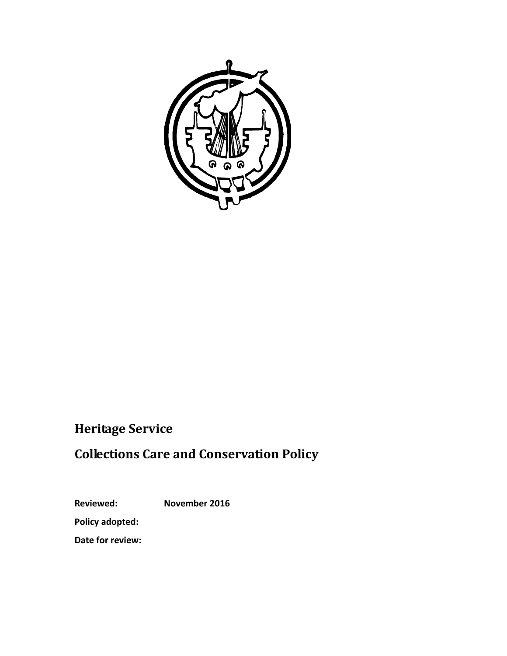

# **Heritage Service**

# **Collections Care and Conservation Policy**

**Reviewed: November 2016**

**Policy adopted:**

**Date for review:**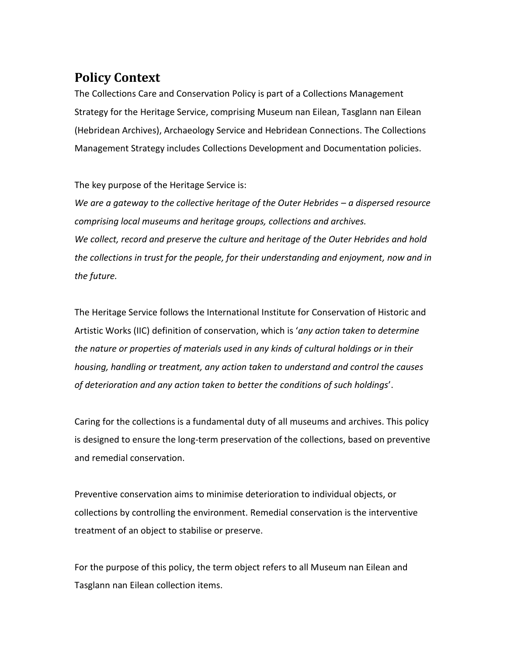## **Policy Context**

The Collections Care and Conservation Policy is part of a Collections Management Strategy for the Heritage Service, comprising Museum nan Eilean, Tasglann nan Eilean (Hebridean Archives), Archaeology Service and Hebridean Connections. The Collections Management Strategy includes Collections Development and Documentation policies.

The key purpose of the Heritage Service is:

*We are a gateway to the collective heritage of the Outer Hebrides – a dispersed resource comprising local museums and heritage groups, collections and archives. We collect, record and preserve the culture and heritage of the Outer Hebrides and hold the collections in trust for the people, for their understanding and enjoyment, now and in the future.*

The Heritage Service follows the International Institute for Conservation of Historic and Artistic Works (IIC) definition of conservation, which is '*any action taken to determine the nature or properties of materials used in any kinds of cultural holdings or in their housing, handling or treatment, any action taken to understand and control the causes of deterioration and any action taken to better the conditions of such holdings*'.

Caring for the collections is a fundamental duty of all museums and archives. This policy is designed to ensure the long-term preservation of the collections, based on preventive and remedial conservation.

Preventive conservation aims to minimise deterioration to individual objects, or collections by controlling the environment. Remedial conservation is the interventive treatment of an object to stabilise or preserve.

For the purpose of this policy, the term object refers to all Museum nan Eilean and Tasglann nan Eilean collection items.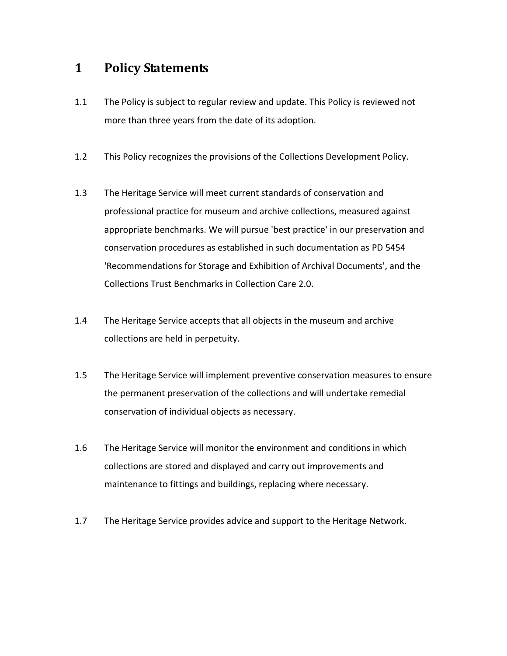### **1 Policy Statements**

- 1.1 The Policy is subject to regular review and update. This Policy is reviewed not more than three years from the date of its adoption.
- 1.2 This Policy recognizes the provisions of the Collections Development Policy.
- 1.3 The Heritage Service will meet current standards of conservation and professional practice for museum and archive collections, measured against appropriate benchmarks. We will pursue 'best practice' in our preservation and conservation procedures as established in such documentation as PD 5454 'Recommendations for Storage and Exhibition of Archival Documents', and the Collections Trust Benchmarks in Collection Care 2.0.
- 1.4 The Heritage Service accepts that all objects in the museum and archive collections are held in perpetuity.
- 1.5 The Heritage Service will implement preventive conservation measures to ensure the permanent preservation of the collections and will undertake remedial conservation of individual objects as necessary.
- 1.6 The Heritage Service will monitor the environment and conditions in which collections are stored and displayed and carry out improvements and maintenance to fittings and buildings, replacing where necessary.
- 1.7 The Heritage Service provides advice and support to the Heritage Network.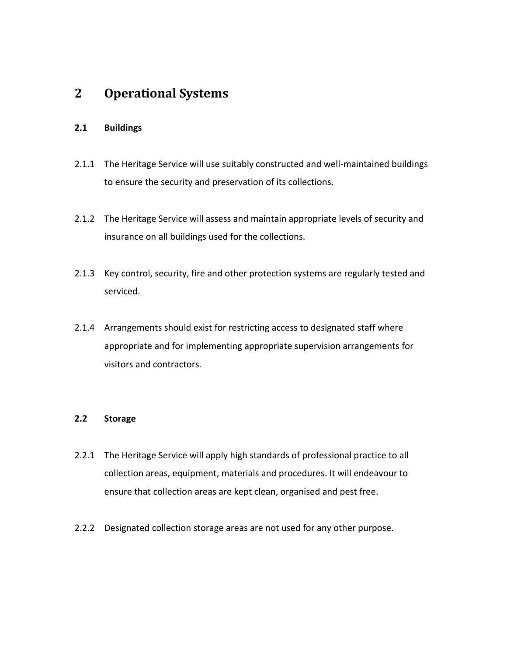### **2 Operational Systems**

#### **2.1 Buildings**

- 2.1.1 The Heritage Service will use suitably constructed and well-maintained buildings to ensure the security and preservation of its collections.
- 2.1.2 The Heritage Service will assess and maintain appropriate levels of security and insurance on all buildings used for the collections.
- 2.1.3 Key control, security, fire and other protection systems are regularly tested and serviced.
- 2.1.4 Arrangements should exist for restricting access to designated staff where appropriate and for implementing appropriate supervision arrangements for visitors and contractors.

#### **2.2 Storage**

- 2.2.1 The Heritage Service will apply high standards of professional practice to all collection areas, equipment, materials and procedures. It will endeavour to ensure that collection areas are kept clean, organised and pest free.
- 2.2.2 Designated collection storage areas are not used for any other purpose.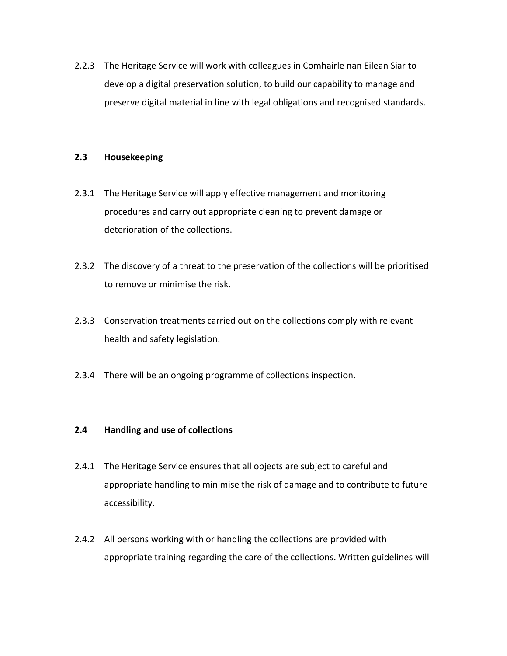2.2.3 The Heritage Service will work with colleagues in Comhairle nan Eilean Siar to develop a digital preservation solution, to build our capability to manage and preserve digital material in line with legal obligations and recognised standards.

#### **2.3 Housekeeping**

- 2.3.1 The Heritage Service will apply effective management and monitoring procedures and carry out appropriate cleaning to prevent damage or deterioration of the collections.
- 2.3.2 The discovery of a threat to the preservation of the collections will be prioritised to remove or minimise the risk.
- 2.3.3 Conservation treatments carried out on the collections comply with relevant health and safety legislation.
- 2.3.4 There will be an ongoing programme of collections inspection.

#### **2.4 Handling and use of collections**

- 2.4.1 The Heritage Service ensures that all objects are subject to careful and appropriate handling to minimise the risk of damage and to contribute to future accessibility.
- 2.4.2 All persons working with or handling the collections are provided with appropriate training regarding the care of the collections. Written guidelines will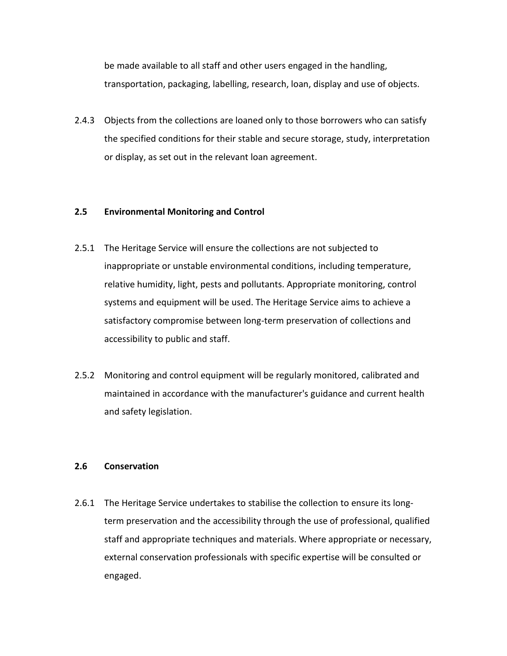be made available to all staff and other users engaged in the handling, transportation, packaging, labelling, research, loan, display and use of objects.

2.4.3 Objects from the collections are loaned only to those borrowers who can satisfy the specified conditions for their stable and secure storage, study, interpretation or display, as set out in the relevant loan agreement.

#### **2.5 Environmental Monitoring and Control**

- 2.5.1 The Heritage Service will ensure the collections are not subjected to inappropriate or unstable environmental conditions, including temperature, relative humidity, light, pests and pollutants. Appropriate monitoring, control systems and equipment will be used. The Heritage Service aims to achieve a satisfactory compromise between long-term preservation of collections and accessibility to public and staff.
- 2.5.2 Monitoring and control equipment will be regularly monitored, calibrated and maintained in accordance with the manufacturer's guidance and current health and safety legislation.

#### **2.6 Conservation**

2.6.1 The Heritage Service undertakes to stabilise the collection to ensure its longterm preservation and the accessibility through the use of professional, qualified staff and appropriate techniques and materials. Where appropriate or necessary, external conservation professionals with specific expertise will be consulted or engaged.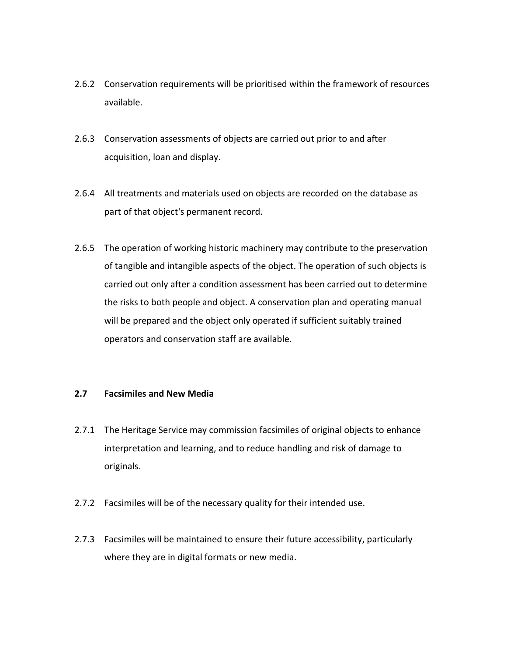- 2.6.2 Conservation requirements will be prioritised within the framework of resources available.
- 2.6.3 Conservation assessments of objects are carried out prior to and after acquisition, loan and display.
- 2.6.4 All treatments and materials used on objects are recorded on the database as part of that object's permanent record.
- 2.6.5 The operation of working historic machinery may contribute to the preservation of tangible and intangible aspects of the object. The operation of such objects is carried out only after a condition assessment has been carried out to determine the risks to both people and object. A conservation plan and operating manual will be prepared and the object only operated if sufficient suitably trained operators and conservation staff are available.

#### **2.7 Facsimiles and New Media**

- 2.7.1 The Heritage Service may commission facsimiles of original objects to enhance interpretation and learning, and to reduce handling and risk of damage to originals.
- 2.7.2 Facsimiles will be of the necessary quality for their intended use.
- 2.7.3 Facsimiles will be maintained to ensure their future accessibility, particularly where they are in digital formats or new media.